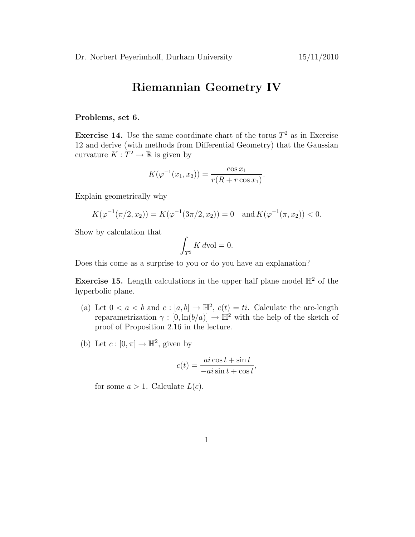## Riemannian Geometry IV

## Problems, set 6.

**Exercise 14.** Use the same coordinate chart of the torus  $T^2$  as in Exercise 12 and derive (with methods from Differential Geometry) that the Gaussian curvature  $K: T^2 \to \mathbb{R}$  is given by

$$
K(\varphi^{-1}(x_1, x_2)) = \frac{\cos x_1}{r(R + r \cos x_1)}.
$$

Explain geometrically why

$$
K(\varphi^{-1}(\pi/2, x_2)) = K(\varphi^{-1}(3\pi/2, x_2)) = 0 \text{ and } K(\varphi^{-1}(\pi, x_2)) < 0.
$$

Show by calculation that

$$
\int_{T^2} K \, d\text{vol} = 0.
$$

Does this come as a surprise to you or do you have an explanation?

**Exercise 15.** Length calculations in the upper half plane model  $\mathbb{H}^2$  of the hyperbolic plane.

- (a) Let  $0 < a < b$  and  $c : [a, b] \to \mathbb{H}^2$ ,  $c(t) = ti$ . Calculate the arc-length reparametrization  $\gamma : [0, \ln(b/a)] \to \mathbb{H}^2$  with the help of the sketch of proof of Proposition 2.16 in the lecture.
- (b) Let  $c: [0, \pi] \to \mathbb{H}^2$ , given by

$$
c(t) = \frac{ai\cos t + \sin t}{-ai\sin t + \cos t},
$$

for some  $a > 1$ . Calculate  $L(c)$ .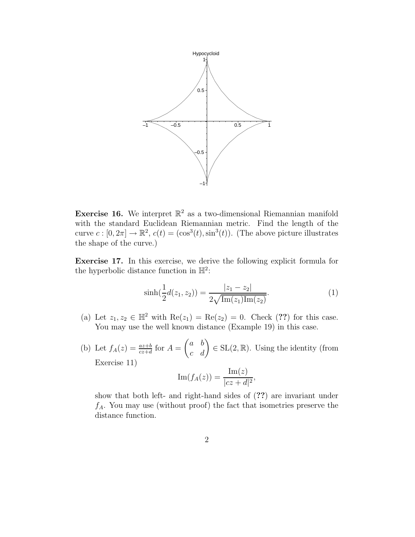

**Exercise 16.** We interpret  $\mathbb{R}^2$  as a two-dimensional Riemannian manifold with the standard Euclidean Riemannian metric. Find the length of the curve  $c: [0, 2\pi] \to \mathbb{R}^2$ ,  $c(t) = (\cos^3(t), \sin^3(t))$ . (The above picture illustrates the shape of the curve.)

Exercise 17. In this exercise, we derive the following explicit formula for the hyperbolic distance function in  $\mathbb{H}^2$ :

$$
\sinh(\frac{1}{2}d(z_1, z_2)) = \frac{|z_1 - z_2|}{2\sqrt{\text{Im}(z_1)\text{Im}(z_2)}}.\tag{1}
$$

- (a) Let  $z_1, z_2 \in \mathbb{H}^2$  with  $\text{Re}(z_1) = \text{Re}(z_2) = 0$ . Check (??) for this case. You may use the well known distance (Example 19) in this case.
- (b) Let  $f_A(z) = \frac{az+b}{cz+d}$  for  $A =$  $\begin{pmatrix} a & b \\ c & d \end{pmatrix} \in SL(2, \mathbb{R})$ . Using the identity (from Exercise 11)

$$
\operatorname{Im}(f_A(z)) = \frac{\operatorname{Im}(z)}{|cz+d|^2},
$$

show that both left- and right-hand sides of (??) are invariant under  $f_A$ . You may use (without proof) the fact that isometries preserve the distance function.